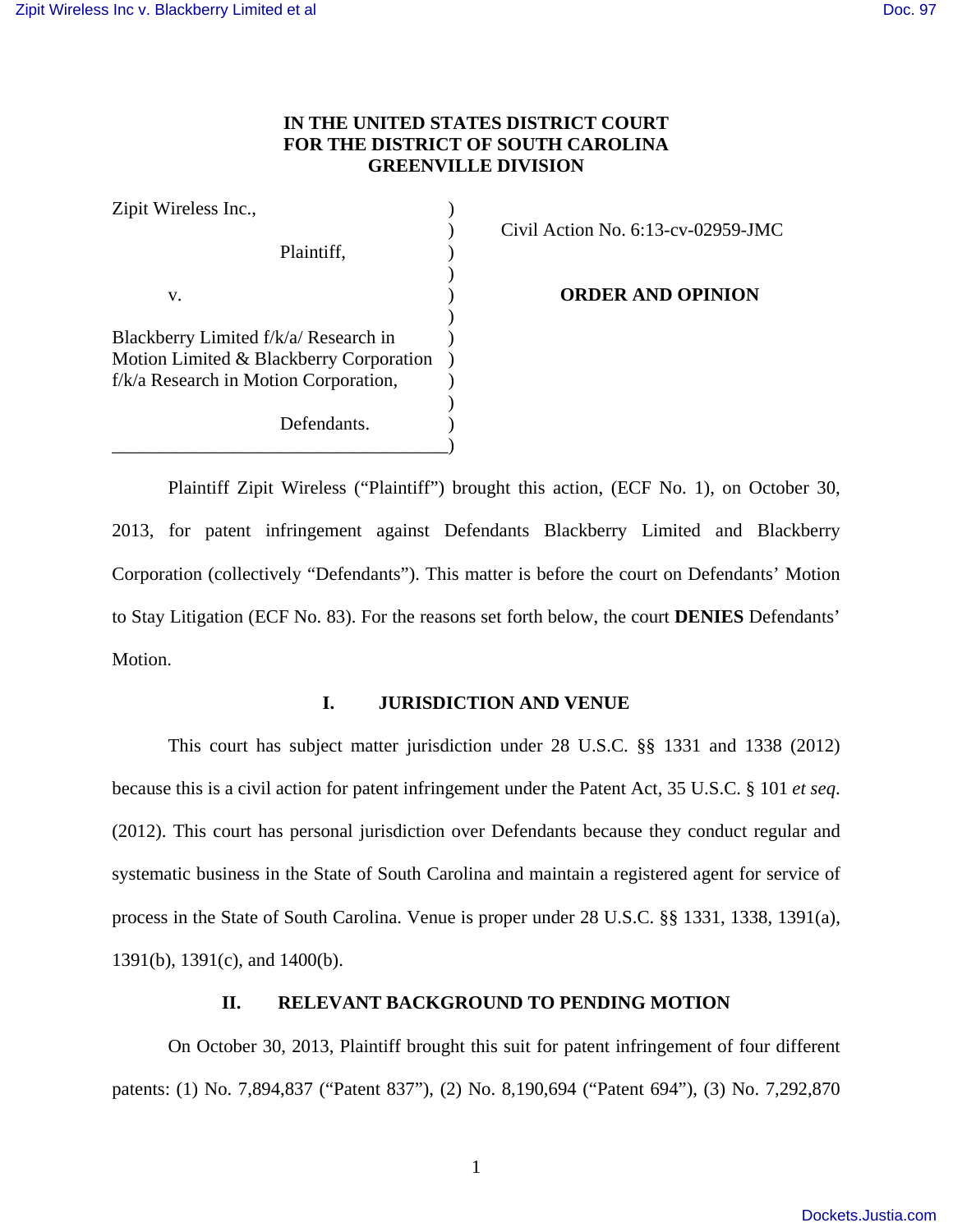# **IN THE UNITED STATES DISTRICT COURT FOR THE DISTRICT OF SOUTH CAROLINA GREENVILLE DIVISION**

| Zipit Wireless Inc.,                    |  |
|-----------------------------------------|--|
|                                         |  |
| Plaintiff,                              |  |
|                                         |  |
| v.                                      |  |
|                                         |  |
| Blackberry Limited f/k/a/ Research in   |  |
| Motion Limited & Blackberry Corporation |  |
| f/k/a Research in Motion Corporation,   |  |
|                                         |  |
| Defendants.                             |  |
|                                         |  |

) Civil Action No. 6:13-cv-02959-JMC

**ORDER AND OPINION** 

Plaintiff Zipit Wireless ("Plaintiff") brought this action, (ECF No. 1), on October 30, 2013, for patent infringement against Defendants Blackberry Limited and Blackberry Corporation (collectively "Defendants"). This matter is before the court on Defendants' Motion to Stay Litigation (ECF No. 83). For the reasons set forth below, the court **DENIES** Defendants' Motion.

# **I. JURISDICTION AND VENUE**

This court has subject matter jurisdiction under 28 U.S.C. §§ 1331 and 1338 (2012) because this is a civil action for patent infringement under the Patent Act, 35 U.S.C. § 101 *et seq*. (2012). This court has personal jurisdiction over Defendants because they conduct regular and systematic business in the State of South Carolina and maintain a registered agent for service of process in the State of South Carolina. Venue is proper under 28 U.S.C. §§ 1331, 1338, 1391(a), 1391(b), 1391(c), and 1400(b).

### **II. RELEVANT BACKGROUND TO PENDING MOTION**

On October 30, 2013, Plaintiff brought this suit for patent infringement of four different patents: (1) No. 7,894,837 ("Patent 837"), (2) No. 8,190,694 ("Patent 694"), (3) No. 7,292,870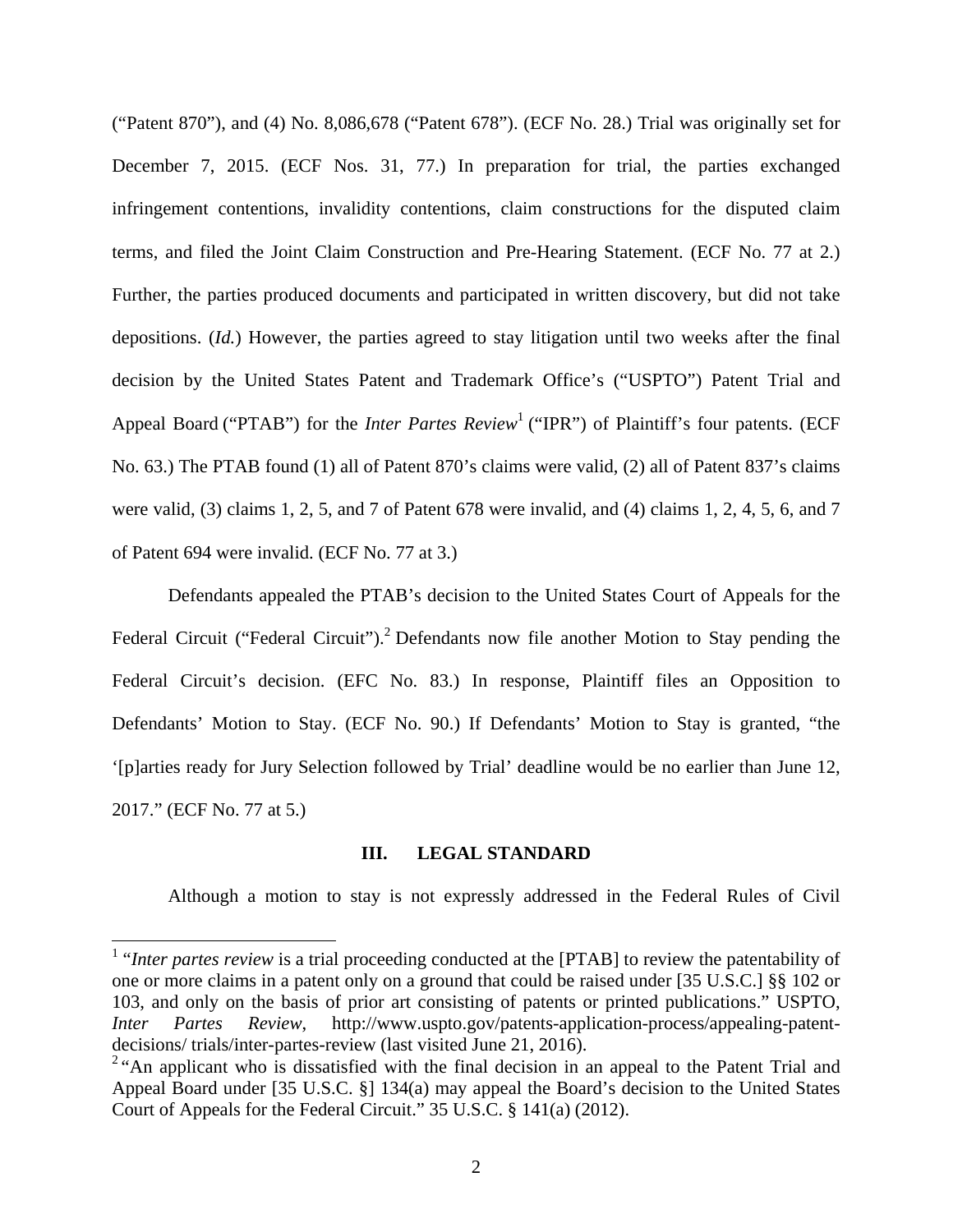("Patent 870"), and (4) No. 8,086,678 ("Patent 678"). (ECF No. 28.) Trial was originally set for December 7, 2015. (ECF Nos. 31, 77.) In preparation for trial, the parties exchanged infringement contentions, invalidity contentions, claim constructions for the disputed claim terms, and filed the Joint Claim Construction and Pre-Hearing Statement. (ECF No. 77 at 2.) Further, the parties produced documents and participated in written discovery, but did not take depositions. (*Id.*) However, the parties agreed to stay litigation until two weeks after the final decision by the United States Patent and Trademark Office's ("USPTO") Patent Trial and Appeal Board ("PTAB") for the *Inter Partes Review*<sup>1</sup> ("IPR") of Plaintiff's four patents. (ECF No. 63.) The PTAB found (1) all of Patent 870's claims were valid, (2) all of Patent 837's claims were valid, (3) claims 1, 2, 5, and 7 of Patent 678 were invalid, and (4) claims 1, 2, 4, 5, 6, and 7 of Patent 694 were invalid. (ECF No. 77 at 3.)

Defendants appealed the PTAB's decision to the United States Court of Appeals for the Federal Circuit ("Federal Circuit").<sup>2</sup> Defendants now file another Motion to Stay pending the Federal Circuit's decision. (EFC No. 83.) In response, Plaintiff files an Opposition to Defendants' Motion to Stay. (ECF No. 90.) If Defendants' Motion to Stay is granted, "the '[p]arties ready for Jury Selection followed by Trial' deadline would be no earlier than June 12, 2017." (ECF No. 77 at 5.)

### **III. LEGAL STANDARD**

Although a motion to stay is not expressly addressed in the Federal Rules of Civil

<sup>&</sup>lt;sup>1</sup> "*Inter partes review* is a trial proceeding conducted at the [PTAB] to review the patentability of one or more claims in a patent only on a ground that could be raised under [35 U.S.C.] §§ 102 or 103, and only on the basis of prior art consisting of patents or printed publications." USPTO, *Inter Partes Review*, http://www.uspto.gov/patents-application-process/appealing-patentdecisions/ trials/inter-partes-review (last visited June 21, 2016).

<sup>&</sup>lt;sup>2</sup> "An applicant who is dissatisfied with the final decision in an appeal to the Patent Trial and Appeal Board under [35 U.S.C. §] 134(a) may appeal the Board's decision to the United States Court of Appeals for the Federal Circuit." 35 U.S.C. § 141(a) (2012).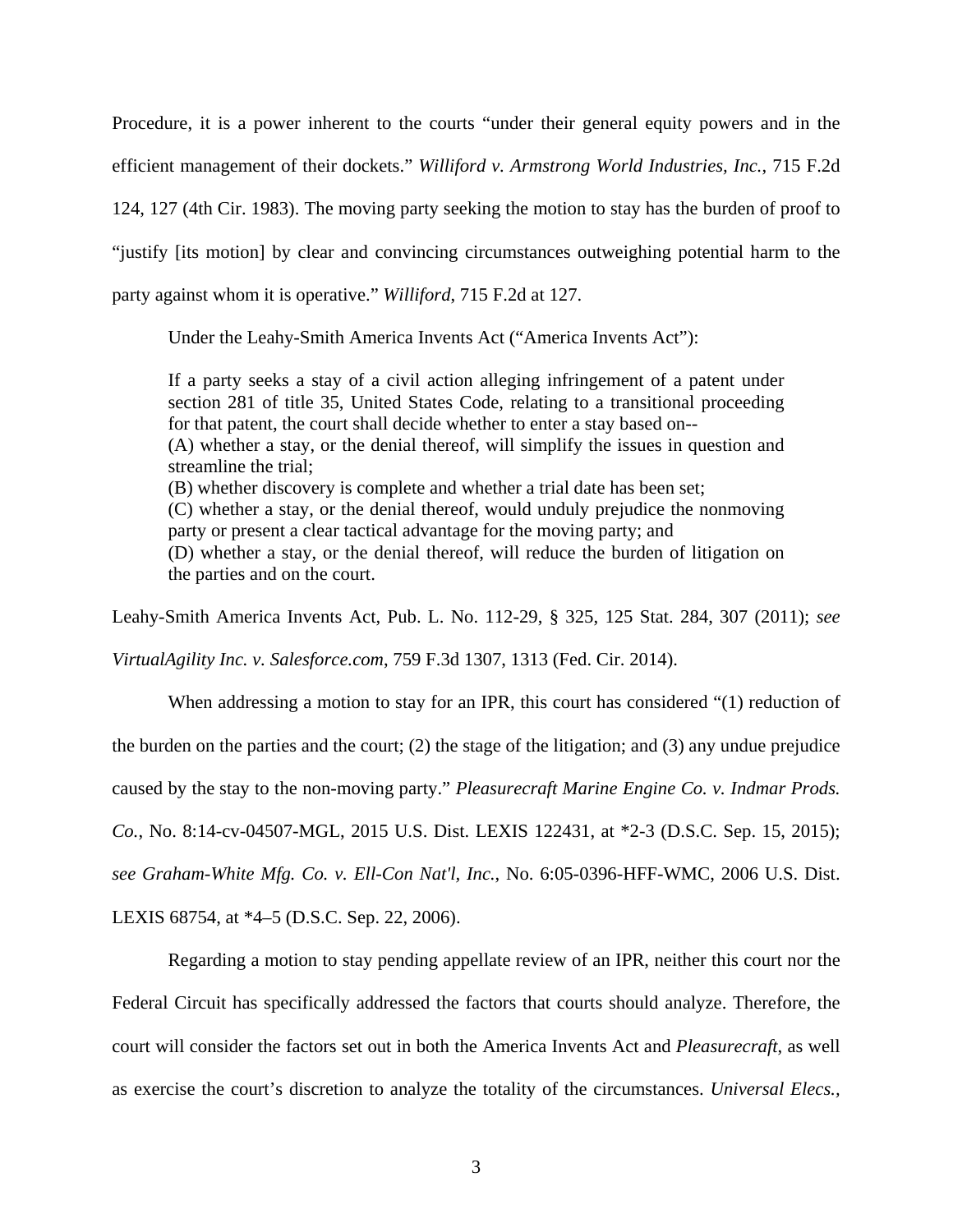Procedure, it is a power inherent to the courts "under their general equity powers and in the efficient management of their dockets." *Williford v. Armstrong World Industries, Inc.*, 715 F.2d 124, 127 (4th Cir. 1983). The moving party seeking the motion to stay has the burden of proof to "justify [its motion] by clear and convincing circumstances outweighing potential harm to the party against whom it is operative." *Williford*, 715 F.2d at 127.

Under the Leahy-Smith America Invents Act ("America Invents Act"):

If a party seeks a stay of a civil action alleging infringement of a patent under section 281 of title 35, United States Code, relating to a transitional proceeding for that patent, the court shall decide whether to enter a stay based on-- (A) whether a stay, or the denial thereof, will simplify the issues in question and streamline the trial; (B) whether discovery is complete and whether a trial date has been set; (C) whether a stay, or the denial thereof, would unduly prejudice the nonmoving party or present a clear tactical advantage for the moving party; and (D) whether a stay, or the denial thereof, will reduce the burden of litigation on the parties and on the court.

Leahy-Smith America Invents Act, Pub. L. No. 112-29, § 325, 125 Stat. 284, 307 (2011); *see*

*VirtualAgility Inc. v. Salesforce.com*, 759 F.3d 1307, 1313 (Fed. Cir. 2014).

 When addressing a motion to stay for an IPR, this court has considered "(1) reduction of the burden on the parties and the court; (2) the stage of the litigation; and (3) any undue prejudice caused by the stay to the non-moving party." *Pleasurecraft Marine Engine Co. v. Indmar Prods. Co.*, No. 8:14-cv-04507-MGL, 2015 U.S. Dist. LEXIS 122431, at \*2-3 (D.S.C. Sep. 15, 2015); *see Graham-White Mfg. Co. v. Ell-Con Nat'l, Inc.*, No. 6:05-0396-HFF-WMC, 2006 U.S. Dist. LEXIS 68754, at \*4–5 (D.S.C. Sep. 22, 2006).

 Regarding a motion to stay pending appellate review of an IPR, neither this court nor the Federal Circuit has specifically addressed the factors that courts should analyze. Therefore, the court will consider the factors set out in both the America Invents Act and *Pleasurecraft*, as well as exercise the court's discretion to analyze the totality of the circumstances. *Universal Elecs.,*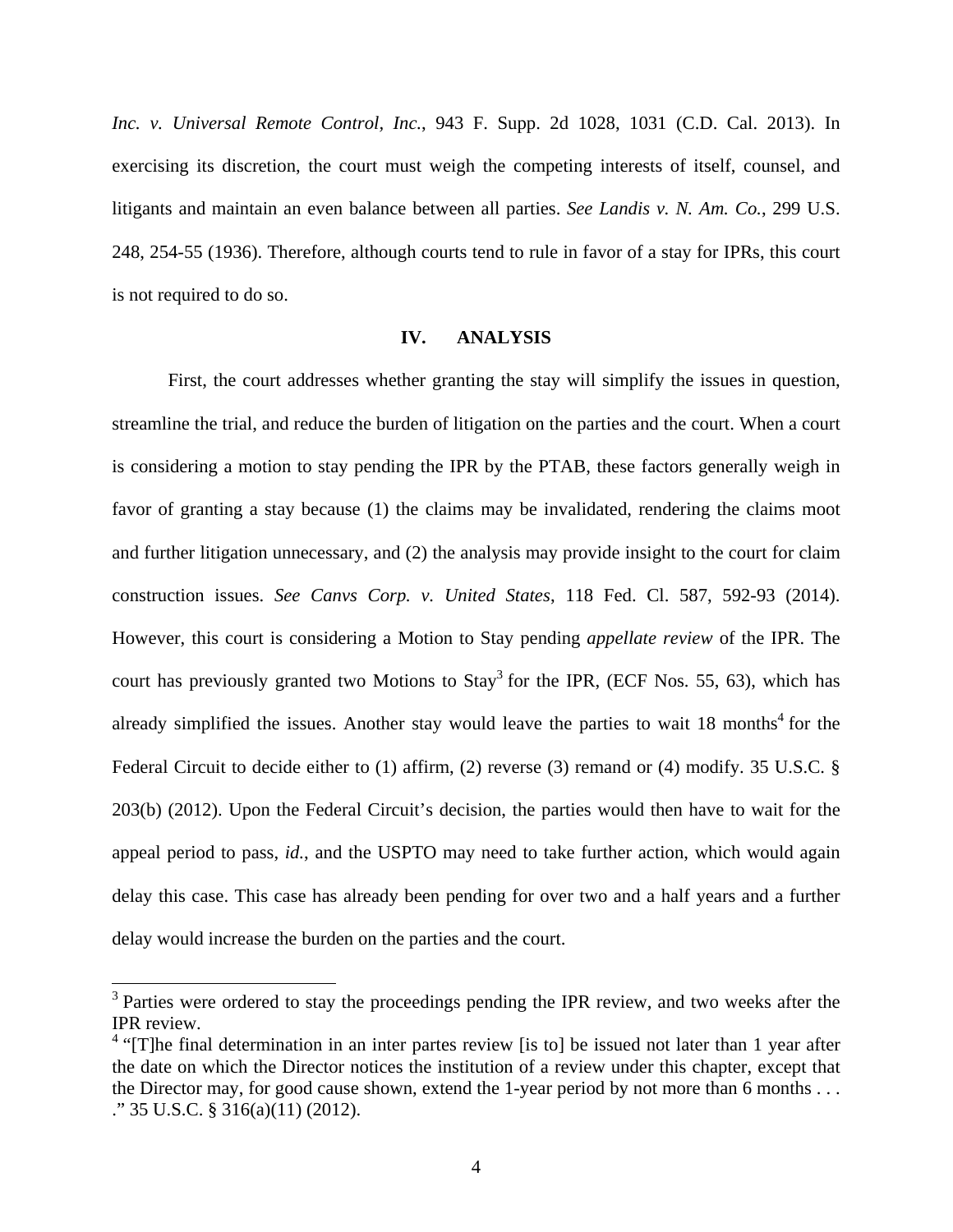*Inc. v. Universal Remote Control, Inc.*, 943 F. Supp. 2d 1028, 1031 (C.D. Cal. 2013). In exercising its discretion, the court must weigh the competing interests of itself, counsel, and litigants and maintain an even balance between all parties. *See Landis v. N. Am. Co.*, 299 U.S. 248, 254-55 (1936). Therefore, although courts tend to rule in favor of a stay for IPRs, this court is not required to do so.

### **IV. ANALYSIS**

First, the court addresses whether granting the stay will simplify the issues in question, streamline the trial, and reduce the burden of litigation on the parties and the court. When a court is considering a motion to stay pending the IPR by the PTAB, these factors generally weigh in favor of granting a stay because (1) the claims may be invalidated, rendering the claims moot and further litigation unnecessary, and (2) the analysis may provide insight to the court for claim construction issues. *See Canvs Corp. v. United States*, 118 Fed. Cl. 587, 592-93 (2014). However, this court is considering a Motion to Stay pending *appellate review* of the IPR. The court has previously granted two Motions to  $Stay<sup>3</sup>$  for the IPR, (ECF Nos. 55, 63), which has already simplified the issues. Another stay would leave the parties to wait  $18$  months<sup>4</sup> for the Federal Circuit to decide either to (1) affirm, (2) reverse (3) remand or (4) modify. 35 U.S.C. § 203(b) (2012). Upon the Federal Circuit's decision, the parties would then have to wait for the appeal period to pass, *id.*, and the USPTO may need to take further action, which would again delay this case. This case has already been pending for over two and a half years and a further delay would increase the burden on the parties and the court.

<sup>&</sup>lt;sup>3</sup> Parties were ordered to stay the proceedings pending the IPR review, and two weeks after the IPR review.

<sup>&</sup>lt;sup>4</sup> "[T]he final determination in an inter partes review [is to] be issued not later than 1 year after the date on which the Director notices the institution of a review under this chapter, except that the Director may, for good cause shown, extend the 1-year period by not more than 6 months . . . ." 35 U.S.C. § 316(a)(11) (2012).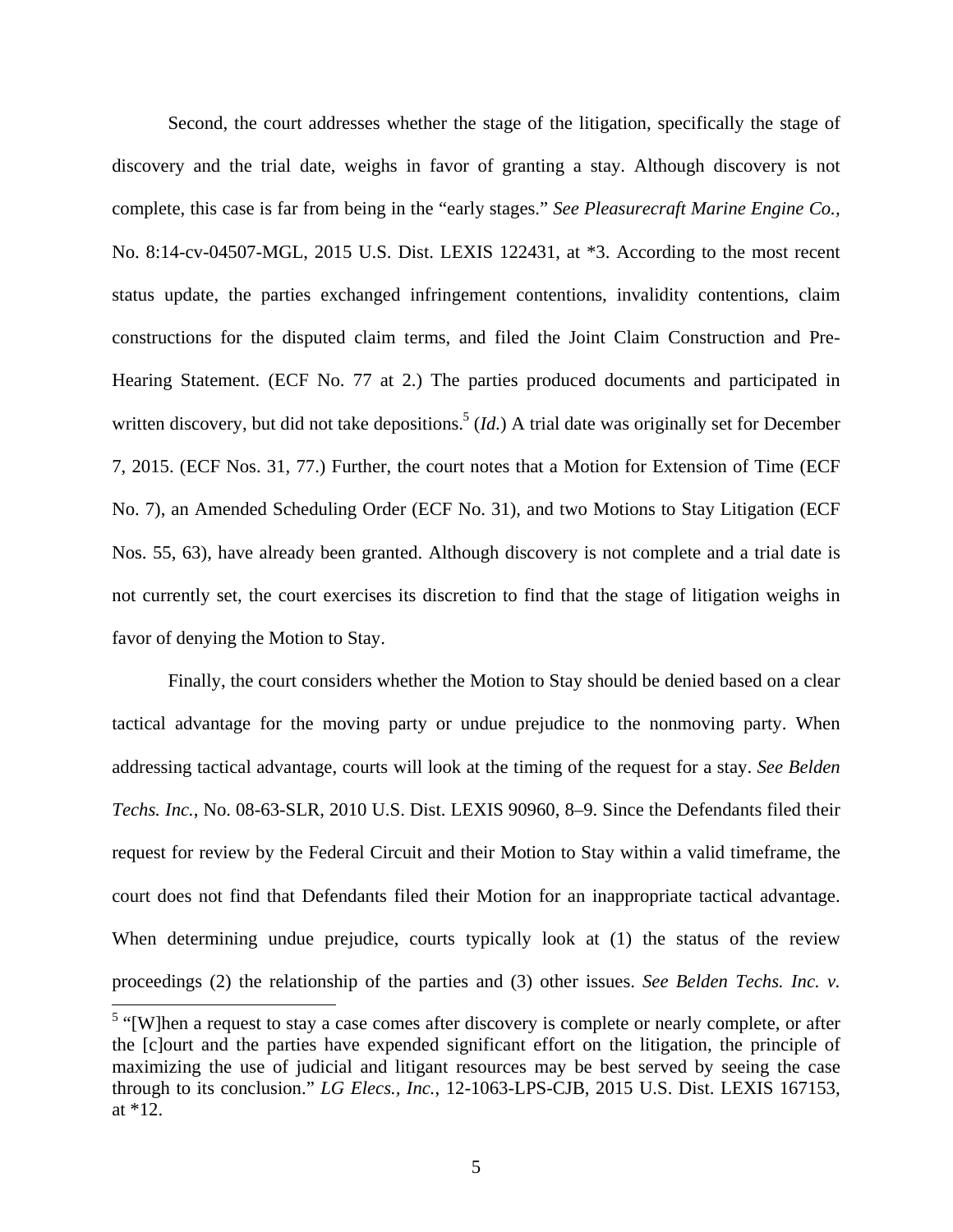Second, the court addresses whether the stage of the litigation, specifically the stage of discovery and the trial date, weighs in favor of granting a stay. Although discovery is not complete, this case is far from being in the "early stages." *See Pleasurecraft Marine Engine Co.,*  No. 8:14-cv-04507-MGL, 2015 U.S. Dist. LEXIS 122431, at \*3. According to the most recent status update, the parties exchanged infringement contentions, invalidity contentions, claim constructions for the disputed claim terms, and filed the Joint Claim Construction and Pre-Hearing Statement. (ECF No. 77 at 2.) The parties produced documents and participated in written discovery, but did not take depositions.<sup>5</sup> (*Id.*) A trial date was originally set for December 7, 2015. (ECF Nos. 31, 77.) Further, the court notes that a Motion for Extension of Time (ECF No. 7), an Amended Scheduling Order (ECF No. 31), and two Motions to Stay Litigation (ECF Nos. 55, 63), have already been granted. Although discovery is not complete and a trial date is not currently set, the court exercises its discretion to find that the stage of litigation weighs in favor of denying the Motion to Stay.

Finally, the court considers whether the Motion to Stay should be denied based on a clear tactical advantage for the moving party or undue prejudice to the nonmoving party. When addressing tactical advantage, courts will look at the timing of the request for a stay. *See Belden Techs. Inc.*, No. 08-63-SLR, 2010 U.S. Dist. LEXIS 90960, 8–9. Since the Defendants filed their request for review by the Federal Circuit and their Motion to Stay within a valid timeframe, the court does not find that Defendants filed their Motion for an inappropriate tactical advantage. When determining undue prejudice, courts typically look at (1) the status of the review proceedings (2) the relationship of the parties and (3) other issues. *See Belden Techs. Inc. v.* 

<sup>&</sup>lt;sup>5</sup> "[W]hen a request to stay a case comes after discovery is complete or nearly complete, or after the [c]ourt and the parties have expended significant effort on the litigation, the principle of maximizing the use of judicial and litigant resources may be best served by seeing the case through to its conclusion." *LG Elecs., Inc.*, 12-1063-LPS-CJB, 2015 U.S. Dist. LEXIS 167153, at \*12.